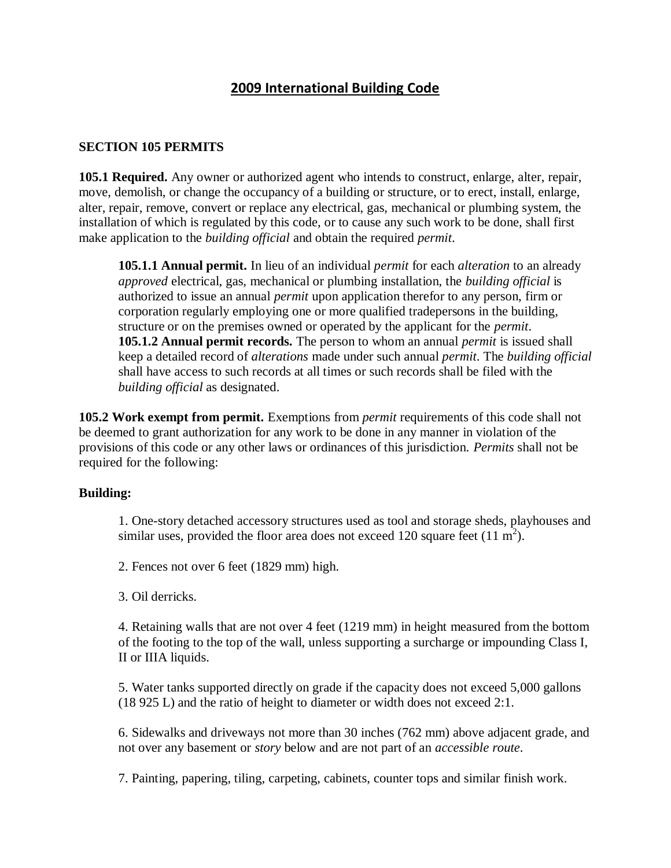# **2009 International Building Code**

# **SECTION 105 PERMITS**

**105.1 Required.** Any owner or authorized agent who intends to construct, enlarge, alter, repair, move, demolish, or change the occupancy of a building or structure, or to erect, install, enlarge, alter, repair, remove, convert or replace any electrical, gas, mechanical or plumbing system, the installation of which is regulated by this code, or to cause any such work to be done, shall first make application to the *building official* and obtain the required *permit*.

**105.1.1 Annual permit.** In lieu of an individual *permit* for each *alteration* to an already *approved* electrical, gas, mechanical or plumbing installation, the *building official* is authorized to issue an annual *permit* upon application therefor to any person, firm or corporation regularly employing one or more qualified tradepersons in the building, structure or on the premises owned or operated by the applicant for the *permit*. **105.1.2 Annual permit records.** The person to whom an annual *permit* is issued shall keep a detailed record of *alterations* made under such annual *permit*. The *building official* shall have access to such records at all times or such records shall be filed with the *building official* as designated.

**105.2 Work exempt from permit.** Exemptions from *permit* requirements of this code shall not be deemed to grant authorization for any work to be done in any manner in violation of the provisions of this code or any other laws or ordinances of this jurisdiction. *Permits* shall not be required for the following:

### **Building:**

1. One-story detached accessory structures used as tool and storage sheds, playhouses and similar uses, provided the floor area does not exceed 120 square feet  $(11 \text{ m}^2)$ .

2. Fences not over 6 feet (1829 mm) high.

3. Oil derricks.

4. Retaining walls that are not over 4 feet (1219 mm) in height measured from the bottom of the footing to the top of the wall, unless supporting a surcharge or impounding Class I, II or IIIA liquids.

5. Water tanks supported directly on grade if the capacity does not exceed 5,000 gallons (18 925 L) and the ratio of height to diameter or width does not exceed 2:1.

6. Sidewalks and driveways not more than 30 inches (762 mm) above adjacent grade, and not over any basement or *story* below and are not part of an *accessible route*.

7. Painting, papering, tiling, carpeting, cabinets, counter tops and similar finish work.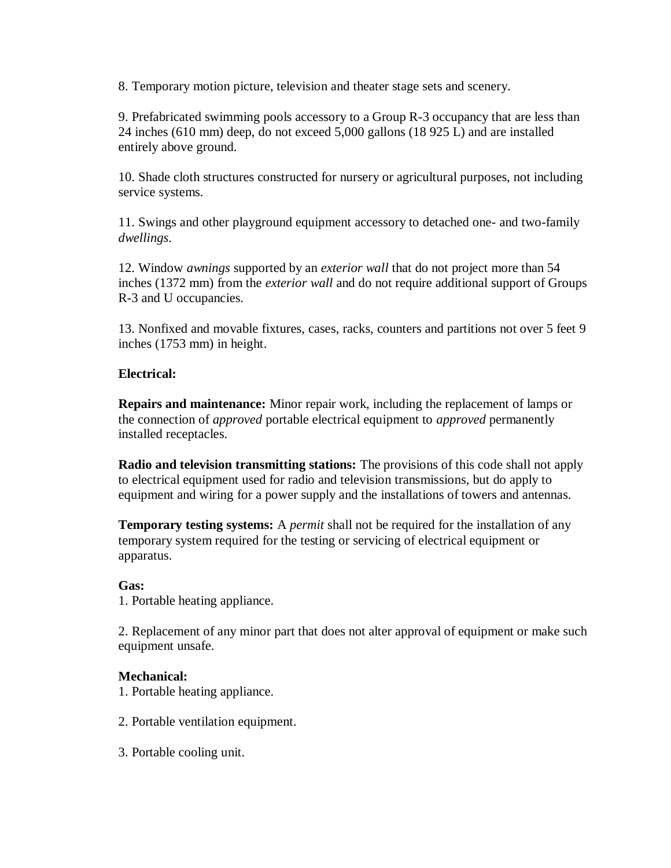8. Temporary motion picture, television and theater stage sets and scenery.

9. Prefabricated swimming pools accessory to a Group R-3 occupancy that are less than 24 inches (610 mm) deep, do not exceed 5,000 gallons (18 925 L) and are installed entirely above ground.

10. Shade cloth structures constructed for nursery or agricultural purposes, not including service systems.

11. Swings and other playground equipment accessory to detached one- and two-family *dwellings*.

12. Window *awnings* supported by an *exterior wall* that do not project more than 54 inches (1372 mm) from the *exterior wall* and do not require additional support of Groups R-3 and U occupancies.

13. Nonfixed and movable fixtures, cases, racks, counters and partitions not over 5 feet 9 inches (1753 mm) in height.

# **Electrical:**

**Repairs and maintenance:** Minor repair work, including the replacement of lamps or the connection of *approved* portable electrical equipment to *approved* permanently installed receptacles.

**Radio and television transmitting stations:** The provisions of this code shall not apply to electrical equipment used for radio and television transmissions, but do apply to equipment and wiring for a power supply and the installations of towers and antennas.

**Temporary testing systems:** A *permit* shall not be required for the installation of any temporary system required for the testing or servicing of electrical equipment or apparatus.

### **Gas:**

1. Portable heating appliance.

2. Replacement of any minor part that does not alter approval of equipment or make such equipment unsafe.

### **Mechanical:**

1. Portable heating appliance.

- 2. Portable ventilation equipment.
- 3. Portable cooling unit.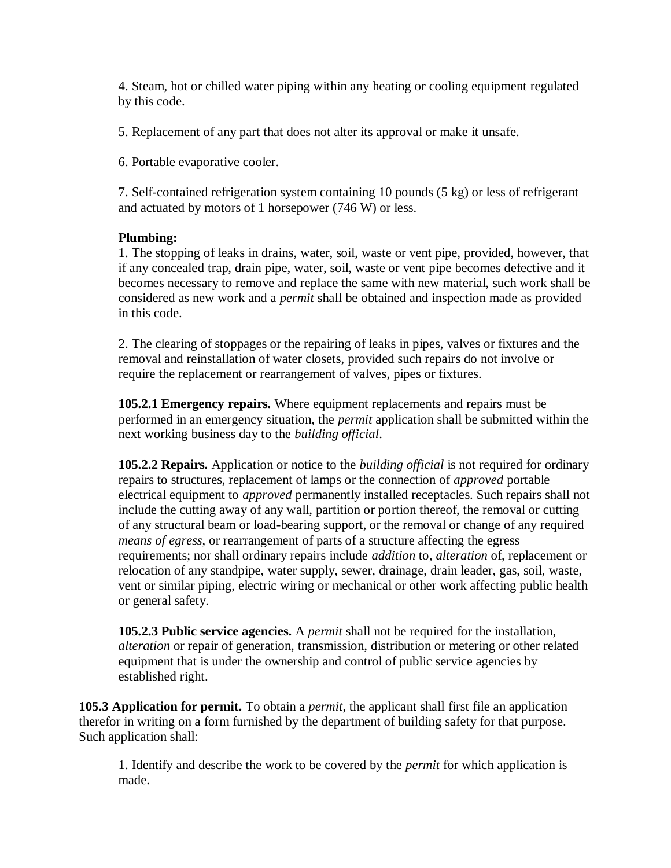4. Steam, hot or chilled water piping within any heating or cooling equipment regulated by this code.

5. Replacement of any part that does not alter its approval or make it unsafe.

6. Portable evaporative cooler.

7. Self-contained refrigeration system containing 10 pounds (5 kg) or less of refrigerant and actuated by motors of 1 horsepower (746 W) or less.

# **Plumbing:**

1. The stopping of leaks in drains, water, soil, waste or vent pipe, provided, however, that if any concealed trap, drain pipe, water, soil, waste or vent pipe becomes defective and it becomes necessary to remove and replace the same with new material, such work shall be considered as new work and a *permit* shall be obtained and inspection made as provided in this code.

2. The clearing of stoppages or the repairing of leaks in pipes, valves or fixtures and the removal and reinstallation of water closets, provided such repairs do not involve or require the replacement or rearrangement of valves, pipes or fixtures.

**105.2.1 Emergency repairs.** Where equipment replacements and repairs must be performed in an emergency situation, the *permit* application shall be submitted within the next working business day to the *building official*.

**105.2.2 Repairs.** Application or notice to the *building official* is not required for ordinary repairs to structures, replacement of lamps or the connection of *approved* portable electrical equipment to *approved* permanently installed receptacles. Such repairs shall not include the cutting away of any wall, partition or portion thereof, the removal or cutting of any structural beam or load-bearing support, or the removal or change of any required *means of egress*, or rearrangement of parts of a structure affecting the egress requirements; nor shall ordinary repairs include *addition* to, *alteration* of, replacement or relocation of any standpipe, water supply, sewer, drainage, drain leader, gas, soil, waste, vent or similar piping, electric wiring or mechanical or other work affecting public health or general safety.

**105.2.3 Public service agencies.** A *permit* shall not be required for the installation, *alteration* or repair of generation, transmission, distribution or metering or other related equipment that is under the ownership and control of public service agencies by established right.

**105.3 Application for permit.** To obtain a *permit*, the applicant shall first file an application therefor in writing on a form furnished by the department of building safety for that purpose. Such application shall:

1. Identify and describe the work to be covered by the *permit* for which application is made.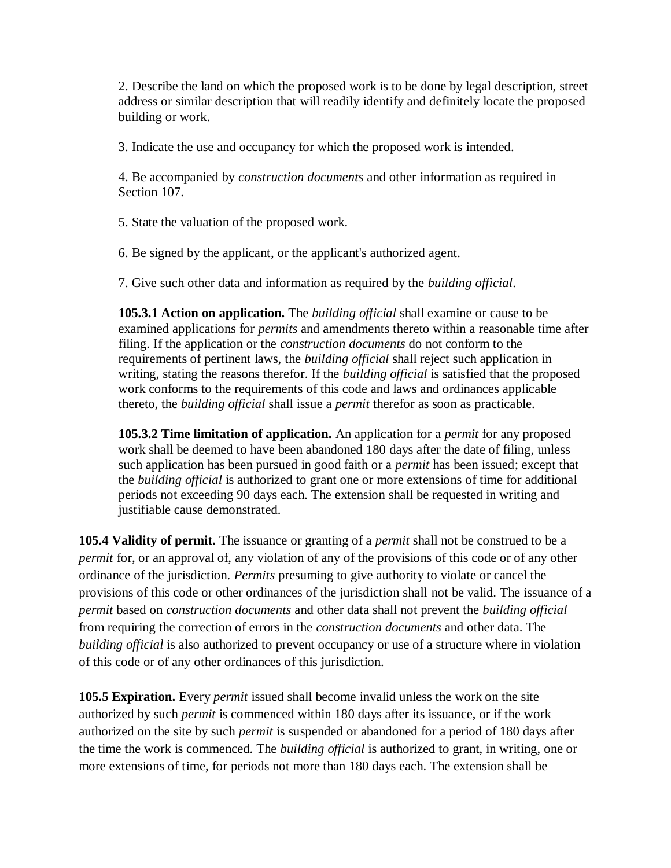2. Describe the land on which the proposed work is to be done by legal description, street address or similar description that will readily identify and definitely locate the proposed building or work.

3. Indicate the use and occupancy for which the proposed work is intended.

4. Be accompanied by *construction documents* and other information as required in Section 107.

5. State the valuation of the proposed work.

6. Be signed by the applicant, or the applicant's authorized agent.

7. Give such other data and information as required by the *building official*.

**105.3.1 Action on application.** The *building official* shall examine or cause to be examined applications for *permits* and amendments thereto within a reasonable time after filing. If the application or the *construction documents* do not conform to the requirements of pertinent laws, the *building official* shall reject such application in writing, stating the reasons therefor. If the *building official* is satisfied that the proposed work conforms to the requirements of this code and laws and ordinances applicable thereto, the *building official* shall issue a *permit* therefor as soon as practicable.

**105.3.2 Time limitation of application.** An application for a *permit* for any proposed work shall be deemed to have been abandoned 180 days after the date of filing, unless such application has been pursued in good faith or a *permit* has been issued; except that the *building official* is authorized to grant one or more extensions of time for additional periods not exceeding 90 days each. The extension shall be requested in writing and justifiable cause demonstrated.

**105.4 Validity of permit.** The issuance or granting of a *permit* shall not be construed to be a *permit* for, or an approval of, any violation of any of the provisions of this code or of any other ordinance of the jurisdiction. *Permits* presuming to give authority to violate or cancel the provisions of this code or other ordinances of the jurisdiction shall not be valid. The issuance of a *permit* based on *construction documents* and other data shall not prevent the *building official* from requiring the correction of errors in the *construction documents* and other data. The *building official* is also authorized to prevent occupancy or use of a structure where in violation of this code or of any other ordinances of this jurisdiction.

**105.5 Expiration.** Every *permit* issued shall become invalid unless the work on the site authorized by such *permit* is commenced within 180 days after its issuance, or if the work authorized on the site by such *permit* is suspended or abandoned for a period of 180 days after the time the work is commenced. The *building official* is authorized to grant, in writing, one or more extensions of time, for periods not more than 180 days each. The extension shall be